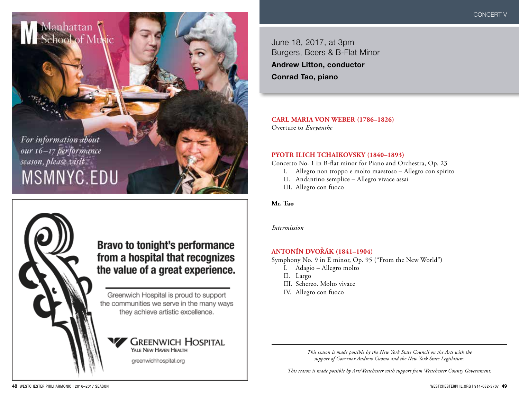June 18, 2017, at 3pm Burgers, Beers & B-Flat Minor

**Andrew Litton, conductor Conrad Tao, piano**

**CARL MARIA VON WEBER (1786–1826)** Overture to *Euryanthe*

**PYOTR ILICH TCHAIKOVSKY (1840–1893)**

Concerto No. 1 in B-flat minor for Piano and Orchestra, Op. 23

- I. Allegro non troppo e molto maestoso Allegro con spirito
- II. Andantino semplice Allegro vivace assai
- III. Allegro con fuoco

**Mr. Tao**

*Intermission*

#### **ANTONÍN DVORÁK (1841–1904) ˇ**

Symphony No. 9 in E minor, Op. 95 ("From the New World")

- I. Adagio Allegro molto
- II. Largo
- III. Scherzo. Molto vivace
- IV. Allegro con fuoco

*This season is made possible by the New York State Council on the Arts with the support of Governor Andrew Cuomo and the New York State Legislature.*

*This season is made possible by ArtsWestchester with support from Westchester County Government.*

For information about our 16-17 performance season, please visit MSMNYC.EDU

Manhattan<br>Sehool of Music



# **Bravo to tonight's performance** from a hospital that recognizes the value of a great experience.

Greenwich Hospital is proud to support the communities we serve in the many ways they achieve artistic excellence.

#### **GREENWICH HOSPITAL** YALE NEW HAVEN HEALTH

greenwichhospital.org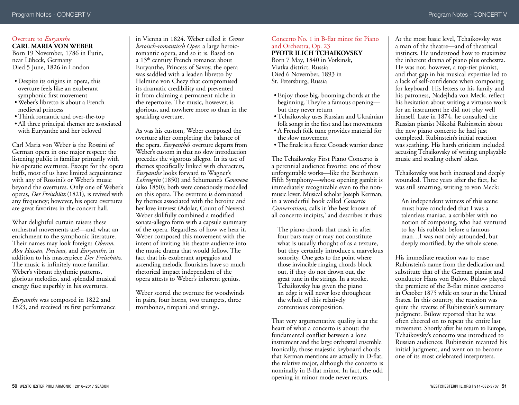#### Overture to *Euryanthe* **CARL MARIA VON WEBER**

Born 19 November, 1786 in Eutin, near Lübeck, Germany Died 5 June, 1826 in London

- •Despite its origins in opera, this overture feels like an exuberant symphonic first movement
- •Weber's libretto is about a French medieval princess
- •Think romantic and over-the-top
- •All three principal themes are associated with Euryanthe and her beloved

Carl Maria von Weber is the Rossini of German opera in one major respect: the listening public is familiar primarily with his operatic overtures. Except for the opera buffs, most of us have limited acquaintance with any of Rossini's or Weber's music beyond the overtures. Only one of Weber's operas, *Der Freischütz* (1821), is revived with any frequency; however, his opera overtures are great favorites in the concert hall.

What delightful curtain raisers these orchestral movements are!—and what an enrichment to the symphonic literature. Their names may look foreign: *Oberon*, *Abu Hassan*, *Preciosa*, and *Euryanthe*, in addition to his masterpiece *Der Freischütz*. The music is infinitely more familiar. Weber's vibrant rhythmic patterns, glorious melodies, and splendid musical energy fuse superbly in his overtures.

*Euryanthe* was composed in 1822 and 1823, and received its first performance

in Vienna in 1824. Weber called it *Grosse heroisch-romantisch Oper*: a large heroicromantic opera, and so it is. Based on a 13<sup>th</sup> century French romance about Euryanthe, Princess of Savoy, the opera was saddled with a leaden libretto by Helmine von Chezy that compromised its dramatic credibility and prevented it from claiming a permanent niche in the repertoire. The music, however, is glorious, and nowhere more so than in the sparkling overture.

As was his custom, Weber composed the overture after completing the balance of the opera. *Euryanthe'*s overture departs from Weber's custom in that no slow introduction precedes the vigorous allegro. In its use of themes specifically linked with characters, *Euryanthe* looks forward to Wagner's *Lohengrin* (1850) and Schumann's *Genoveva* (also 1850); both were consciously modelled on this opera. The overture is dominated by themes associated with the heroine and her love interest (Adolar, Count of Nevers). Weber skillfully combined a modified sonata-allegro form with a capsule summary of the opera. Regardless of how we hear it, Weber composed this movement with the intent of inviting his theatre audience into the music drama that would follow. The fact that his exuberant arpeggios and ascending melodic flourishes have so much rhetorical impact independent of the opera attests to Weber's inherent genius.

Weber scored the overture for woodwinds in pairs, four horns, two trumpets, three trombones, timpani and strings.

#### Concerto No. 1 in B-flat minor for Piano and Orchestra, Op. 23 **PYOTR ILICH TCHAIKOVSKY**

Born 7 May, 1840 in Votkinsk, Viatka district, Russia Died 6 November, 1893 in St. Petersburg, Russia

- Enjoy those big, booming chords at the beginning. They're a famous opening but they never return
- •Tchaikovsky uses Russian and Ukrainian folk songs in the first and last movements
- •A French folk tune provides material for the slow movement
- •The finale is a fierce Cossack warrior dance

The Tchaikovsky First Piano Concerto is a perennial audience favorite: one of those unforgettable works—like the Beethoven Fifth Symphony—whose opening gambit is immediately recognizable even to the nonmusic lover. Musical scholar Joseph Kerman, in a wonderful book called *Concerto Conversations*, calls it 'the best known of all concerto incipits,' and describes it thus:

The piano chords that crash in after four bars may or may not constitute what is usually thought of as a texture, but they certainly introduce a marvelous sonority. One gets to the point where those invincible ringing chords block out, if they do not drown out, the great tune in the strings. In a stroke, Tchaikovsky has given the piano an edge it will never lose throughout the whole of this relatively contentious composition.

That very argumentative quality is at the heart of what a concerto is about: the fundamental conflict between a lone instrument and the large orchestral ensemble. Ironically, those majestic keyboard chords that Kerman mentions are actually in D-flat, the relative major, although the concerto is nominally in B-flat minor. In fact, the odd opening in minor mode never recurs.

At the most basic level, Tchaikovsky was a man of the theatre—and of theatrical instincts. He understood how to maximize the inherent drama of piano plus orchestra. He was not, however, a top-tier pianist, and that gap in his musical expertise led to a lack of self-confidence when composing for keyboard. His letters to his family and his patroness, Nadejhda von Meck, reflect his hesitation about writing a virtuoso work for an instrument he did not play well himself. Late in 1874, he consulted the Russian pianist Nikolai Rubinstein about the new piano concerto he had just completed. Rubinstein's initial reaction was scathing. His harsh criticism included accusing Tchaikovsky of writing unplayable music and stealing others' ideas.

Tchaikovsky was both incensed and deeply wounded. Three years after the fact, he was still smarting, writing to von Meck:

An independent witness of this scene must have concluded that I was a talentless maniac, a scribbler with no notion of composing, who had ventured to lay his rubbish before a famous man…I was not only astounded, but deeply mortified, by the whole scene.

His immediate reaction was to erase Rubinstein's name from the dedication and substitute that of the German pianist and conductor Hans von Bülow. Bülow played the premiere of the B-flat minor concerto in October 1875 while on tour in the United States. In this country, the reaction was quite the reverse of Rubinstein's summary judgment. Bülow reported that he was often cheered on to repeat the entire last movement. Shortly after his return to Europe, Tchaikovsky's concerto was introduced to Russian audiences. Rubinstein recanted his initial judgment, and went on to become one of its most celebrated interpreters.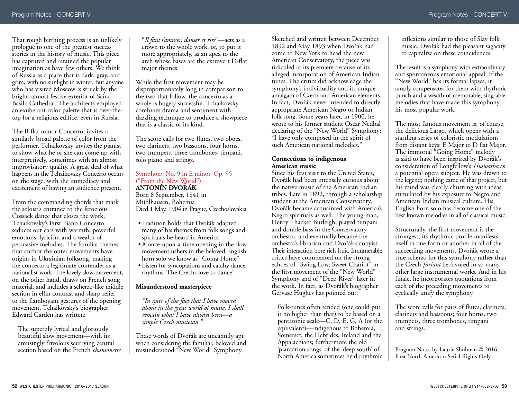That rough birthing process is an unlikely prologue to one of the greatest success stories in the history of music. This piece has captured and retained the popular imagination as have few others. We think of Russia as a place that is dark, gray, and grim, with no sunlight in winter. But anyone who has visited Moscow is struck by the bright, almost festive exterior of Saint Basil's Cathedral. The architects employed an exuberant color palette that is over-thetop for a religious edifice, even in Russia.

The B-flat minor Concerto, invites a similarly broad palette of color from the performer. Tchaikovsky invites the pianist to show what he or she can come up with interpretively, sometimes with an almost improvisatory quality. A great deal of what happens in the Tchaikovsky Concerto occurs on the stage, with the immediacy and excitement of having an audience present.

From the commanding chords that mark the soloist's entrance to the ferocious Cossack dance that closes the work, Tchaikovsky's First Piano Concerto seduces our ears with warmth, powerful emotions, lyricism and a wealth of persuasive melodies. The familiar themes that anchor the outer movements have origins in Ukrainian folksong, making the concerto a legitimate contender as a nationalist work. The lovely slow movement, on the other hand, draws on French song material, and includes a scherzo-like middle section in elfin contrast and sharp relief to the flamboyant gestures of the opening movement. Tchaikovsky's biographer Edward Garden has written:

The superbly lyrical and gloriously beautiful slow movement—with its amusingly frivolous scurrying central section based on the French *chansonette* "*Il faut s'amuser, danser et rire*"—acts as a crown to the whole work, or, to put it more appropriately, as an apex to the arch whose bases are the extrovert D-flat major themes.

While the first movement may be disproportionately long in comparison to the two that follow, the concerto as a whole is hugely successful. Tchaikovsky combines drama and sentiment with dazzling technique to produce a showpiece that is a classic of its kind.

The score calls for two flutes, two oboes, two clarinets, two bassoons, four horns, two trumpets, three trombones, timpani, solo piano and strings.

#### Symphony No. 9 in E minor, Op. 95 ("From the New World") **ANTONÍN DVORÁK ˇ**

Born 8 September, 1841 in Mühlhausen, Bohemia Died 1 May, 1904 in Prague, Czechoslovakia

- Tradition holds that Dvořák adapted many of his themes from folk songs and spirituals he heard in America
- •A once-upon-a-time opening in the slow movement ushers in the beloved English horn solo we know as "Going Home"
- Listen for syncopations and catchy dance rhythms. The Czechs love to dance!

#### **Misunderstood masterpiece**

*"In spite of the fact that I have moved about in the great world of music, I shall remain what I have always been—a simple Czech musician."*

These words of Dvořák are uncannily apt when considering the familiar, beloved and misunderstood "New World" Symphony.

Sketched and written between December 1892 and May 1893 when Dvořák had come to New York to head the new American Conservatory, the piece was ridiculed at its premiere because of its alleged incorporation of American Indian tunes. The critics did acknowledge the symphony's individuality and its unique amalgam of Czech and American elements. In fact, Dvořák never intended to directly appropriate American Negro or Indian folk song. Some years later, in 1900, he wrote to his former student Oscar Nedbal declaring of the "New World" Symphony: "I have only composed in the spirit of such American national melodies."

#### **Connections to indigenous American music**

Since his first visit to the United States, Dvořák had been intensely curious about the native music of the American Indian tribes. Late in 1892, through a scholarship student at the American Conservatory, Dvořák became acquainted with America's Negro spirituals as well. The young man, Henry Thacker Burleigh, played timpani and double bass in the Conservatory orchestra, and eventually became the orchestra's librarian and Dvořák's copyist. Their interaction bore rich fruit. Innumerable critics have commented on the strong echoes of "Swing Low, Sweet Chariot" in the first movement of the "New World" Symphony and of "Deep River" later in the work. In fact, as Dvořák's biographer Gervase Hughes has pointed out:

Folk-tunes often tended (one could put it no higher than that) to be based on a pentatonic scale—C, D, E, G, A (or the equivalent)—indigenous to Bohemia, Somerset, the Hebrides, Ireland and the Appalachians; furthermore the old 'plantation songs' of the 'deep south' of North America sometimes held rhythmic inflexions similar to those of Slav folk music. Dvořák had the pleasant sagacity to capitalize on these coincidences.

The result is a symphony with extraordinary and spontaneous emotional appeal. If the "New World" has its formal lapses, it amply compensates for them with rhythmic punch and a wealth of memorable, sing-able melodies that have made this symphony his most popular work.

The most famous movement is, of course, the delicious Largo, which opens with a startling series of coloristic modulations from distant keys: E Major to D flat Major. The immortal "Going Home" melody is said to have been inspired by Dvořák's consideration of Longfellow's *Hiawatha* as a potential opera subject. He was drawn to the legend; nothing came of that project, but his mind was clearly churning with ideas stimulated by his exposure to Negro and American Indian musical culture. His English horn solo has become one of the best known melodies in all of classical music.

Structurally, the first movement is the strongest; its rhythmic profile manifests itself in one form or another in all of the succeeding movements. Dvořák wrote a true scherzo for this symphony rather than the Czech *furiant* he favored in so many other large instrumental works. And in his finale, he incorporates quotations from each of the preceding movements to cyclically unify the symphony.

The score calls for pairs of flutes, clarinets, clarinets and bassoons; four horns, two trumpets, three trombones, timpani and strings.

Program Notes by Laurie Shulman © 2016 First North American Serial Rights Only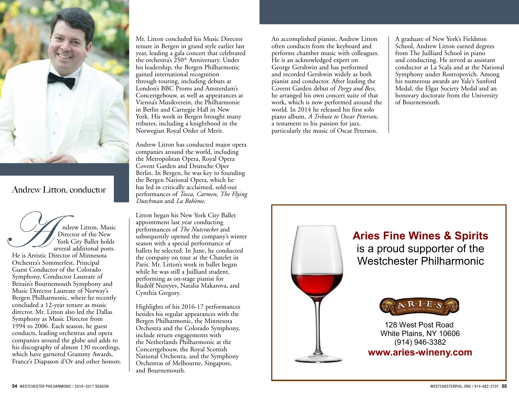

## Andrew Litton, conductor

ndrew Litton, Music Director of the New York City Ballet holds several additional posts.

He is Artistic Director of Minnesota Orchestra's Sommerfest, Principal Guest Conductor of the Colorado Symphony, Conductor Laureate of Britain's Bournemouth Symphony and Music Director Laureate of Norway's Bergen Philharmonic, where he recently concluded a 12-year tenure as music director. Mr. Litton also led the Dallas Symphony as Music Director from  $199\overline{4}$  to 2006. Each season, he guest conducts, leading orchestras and opera companies around the globe and adds to his discography of almost 130 recordings, which have garnered Grammy Awards, France's Diapason d'Or and other honors.

Mr. Litton concluded his Music Director tenure in Bergen in grand style earlier last year, leading a gala concert that celebrated the orchestra's  $250<sup>th</sup>$  Anniversary. Under his leadership, the Bergen Philharmonic gained international recognition through touring, including debuts at London's BBC Proms and Amsterdam's Concertgebouw, as well as appearances at Vienna's Musikverein, the Philharmonie in Berlin and Carnegie Hall in New York. His work in Bergen brought many tributes, including a knighthood in the Norwegian Royal Order of Merit.

Andrew Litton has conducted major opera companies around the world, including the Metropolitan Opera, Royal Opera Covent Garden and Deutsche Oper Berlin. In Bergen, he was key to founding the Bergen National Opera, which he has led in critically acclaimed, sold-out performances of *Tosca*, *Carmen*, *The Flying Dutchman* and *La Bohème*.

Litton began his New York City Ballet appointment last year conducting performances of *The Nutcracker* and subsequently opened the company's winter season with a special performance of ballets he selected. In June, he conducted the company on tour at the Chatelet in Paris. Mr. Litton's work in ballet began while he was still a Juilliard student, performing as on-stage pianist for Rudolf Nureyev, Natalia Makarova, and Cynthia Gregory.

Highlights of his 2016-17 performances besides his regular appearances with the Bergen Philharmonic, the Minnesota Orchestra and the Colorado Symphony, include return engagements with the Netherlands Philharmonic at the Concertgebouw, the Royal Scottish National Orchestra, and the Symphony Orchestras of Melbourne, Singapore, and Bournemouth.

An accomplished pianist, Andrew Litton often conducts from the keyboard and performs chamber music with colleagues. He is an acknowledged expert on George Gershwin and has performed and recorded Gershwin widely as both pianist and conductor. After leading the Covent Garden debut of *Porgy and Bess*, he arranged his own concert suite of that work, which is now performed around the world. In 2014 he released his first solo piano album, *A Tribute to Oscar Peterson*, a testament to his passion for jazz, particularly the music of Oscar Peterson.

A graduate of New York's Fieldston School, Andrew Litton earned degrees from The Juilliard School in piano and conducting. He served as assistant conductor at La Scala and at the National Symphony under Rostropovich. Among his numerous awards are Yale's Sanford Medal, the Elgar Society Medal and an honorary doctorate from the University of Bournemouth.



# **Aries Fine Wines & Spirits**

is a proud supporter of the Westchester Philharmonic



128 West Post Road White Plains, NY 10606 (914) 946-3382

**www.aries-wineny.com**